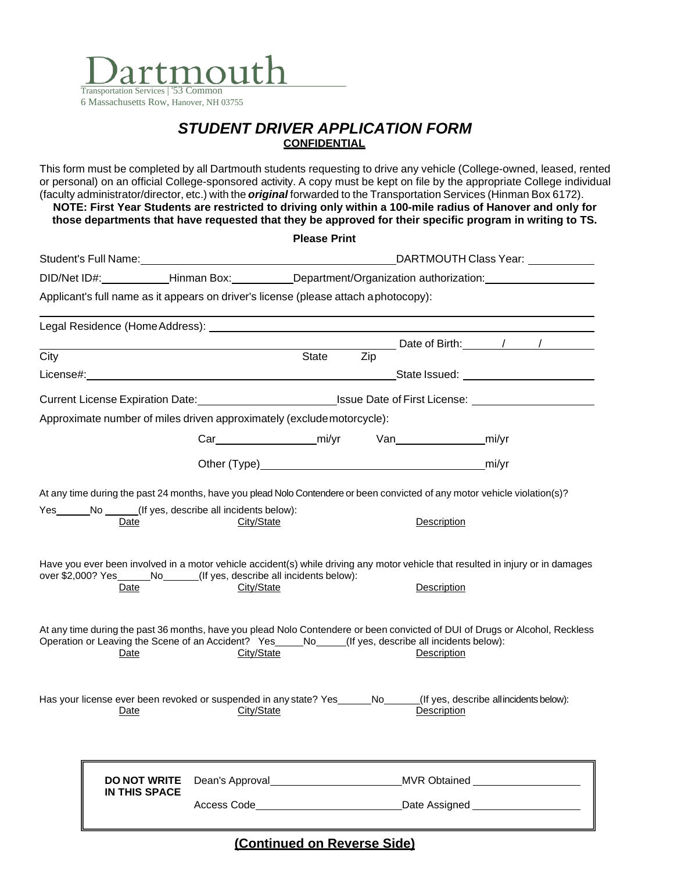

## *STUDENT DRIVER APPLICATION FORM* **CONFIDENTIAL**

This form must be completed by all Dartmouth students requesting to drive any vehicle (College-owned, leased, rented or personal) on an official College-sponsored activity. A copy must be kept on file by the appropriate College individual (faculty administrator/director, etc.) with the *original* forwarded to the Transportation Services (Hinman Box 6172). **NOTE: First Year Students are restricted to driving only within a 100-mile radius of Hanover and only for** 

**those departments that have requested that they be approved for their specific program in writing to TS.**

|      |                                                                                                                                                                                                                                               |            | <b>Please Print</b>                                                                                            |                                   |             |                    |  |  |
|------|-----------------------------------------------------------------------------------------------------------------------------------------------------------------------------------------------------------------------------------------------|------------|----------------------------------------------------------------------------------------------------------------|-----------------------------------|-------------|--------------------|--|--|
|      |                                                                                                                                                                                                                                               |            | DARTMOUTH Class Year:<br>Student's Full Name: Manual Communication of the Student's Full Name:                 |                                   |             |                    |  |  |
|      |                                                                                                                                                                                                                                               |            | DID/Net ID#: Hinman Box: Department/Organization authorization:                                                |                                   |             |                    |  |  |
|      | Applicant's full name as it appears on driver's license (please attach aphotocopy):                                                                                                                                                           |            |                                                                                                                |                                   |             |                    |  |  |
|      |                                                                                                                                                                                                                                               |            |                                                                                                                |                                   |             |                    |  |  |
| City |                                                                                                                                                                                                                                               |            | State                                                                                                          | Zip                               |             | Date of Birth: 1 1 |  |  |
|      |                                                                                                                                                                                                                                               |            |                                                                                                                |                                   |             |                    |  |  |
|      |                                                                                                                                                                                                                                               |            | Current License Expiration Date: _____________________________Issue Date of First License: ___________________ |                                   |             |                    |  |  |
|      | Approximate number of miles driven approximately (exclude motorcycle):                                                                                                                                                                        |            |                                                                                                                |                                   |             |                    |  |  |
|      |                                                                                                                                                                                                                                               |            |                                                                                                                |                                   |             |                    |  |  |
|      |                                                                                                                                                                                                                                               |            |                                                                                                                |                                   |             |                    |  |  |
|      | Have you ever been involved in a motor vehicle accident(s) while driving any motor vehicle that resulted in injury or in damages<br>over \$2,000? Yes ________No________(If yes, describe all incidents below):<br>Date                       | City/State |                                                                                                                |                                   | Description |                    |  |  |
|      | At any time during the past 36 months, have you plead Nolo Contendere or been convicted of DUI of Drugs or Alcohol, Reckless<br>Operation or Leaving the Scene of an Accident? Yes_____No_____(If yes, describe all incidents below):<br>Date | City/State |                                                                                                                |                                   | Description |                    |  |  |
|      | Has your license ever been revoked or suspended in any state? Yes _____No_____(If yes, describe all incidents below):<br>Date                                                                                                                 | City/State |                                                                                                                |                                   | Description |                    |  |  |
|      | <b>DO NOT WRITE</b><br><b>IN THIS SPACE</b>                                                                                                                                                                                                   |            |                                                                                                                | MVR Obtained ____________________ |             |                    |  |  |
|      |                                                                                                                                                                                                                                               |            |                                                                                                                |                                   |             |                    |  |  |

**(Continued on Reverse Side)**